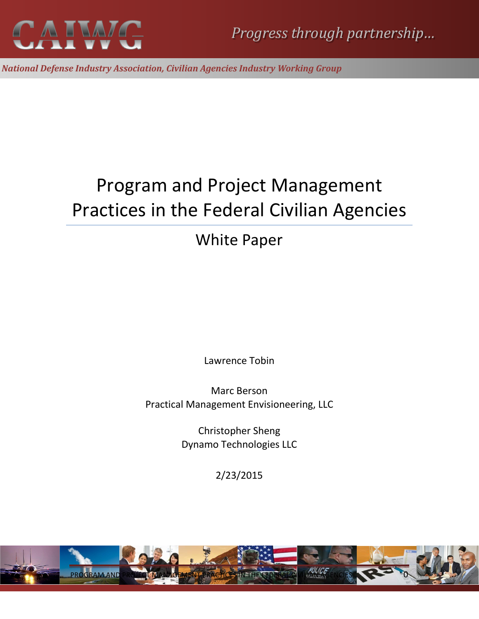

*National Defense Industry Association, Civilian Agencies Industry Working Group*

# Program and Project Management Practices in the Federal Civilian Agencies

## White Paper

Lawrence Tobin

Marc Berson Practical Management Envisioneering, LLC

> Christopher Sheng Dynamo Technologies LLC

> > 2/23/2015

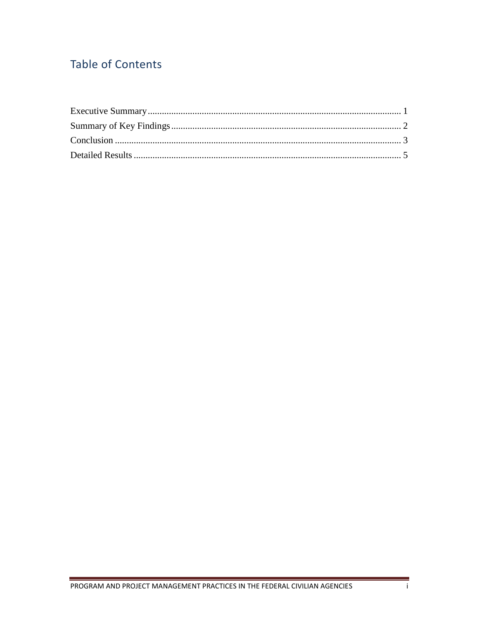## **Table of Contents**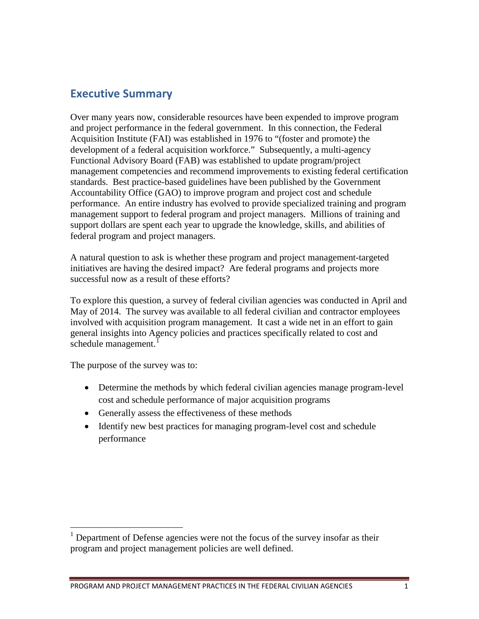### <span id="page-2-0"></span>**Executive Summary**

Over many years now, considerable resources have been expended to improve program and project performance in the federal government. In this connection, the Federal Acquisition Institute (FAI) was established in 1976 to "(foster and promote) the development of a federal acquisition workforce." Subsequently, a multi-agency Functional Advisory Board (FAB) was established to update program/project management competencies and recommend improvements to existing federal certification standards. Best practice-based guidelines have been published by the Government Accountability Office (GAO) to improve program and project cost and schedule performance. An entire industry has evolved to provide specialized training and program management support to federal program and project managers. Millions of training and support dollars are spent each year to upgrade the knowledge, skills, and abilities of federal program and project managers.

A natural question to ask is whether these program and project management-targeted initiatives are having the desired impact? Are federal programs and projects more successful now as a result of these efforts?

To explore this question, a survey of federal civilian agencies was conducted in April and May of 2014. The survey was available to all federal civilian and contractor employees involved with acquisition program management. It cast a wide net in an effort to gain general insights into Agency policies and practices specifically related to cost and schedule management.<sup>[1](#page-2-1)</sup>

The purpose of the survey was to:

- Determine the methods by which federal civilian agencies manage program-level cost and schedule performance of major acquisition programs
- Generally assess the effectiveness of these methods
- Identify new best practices for managing program-level cost and schedule performance

<span id="page-2-1"></span> $1$  Department of Defense agencies were not the focus of the survey insofar as their program and project management policies are well defined.  $\overline{a}$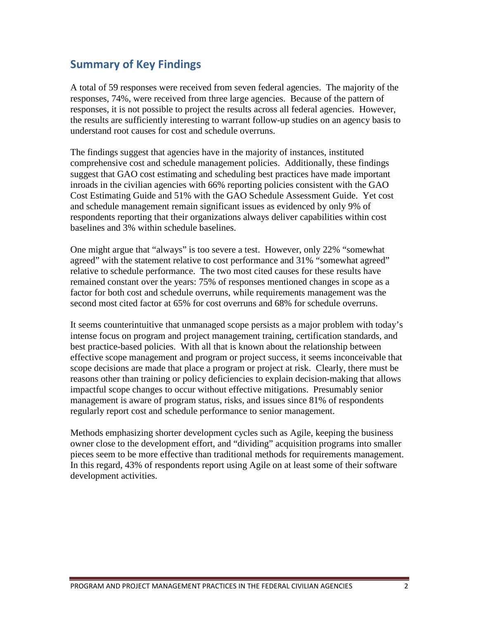## <span id="page-3-0"></span>**Summary of Key Findings**

A total of 59 responses were received from seven federal agencies. The majority of the responses, 74%, were received from three large agencies. Because of the pattern of responses, it is not possible to project the results across all federal agencies. However, the results are sufficiently interesting to warrant follow-up studies on an agency basis to understand root causes for cost and schedule overruns.

The findings suggest that agencies have in the majority of instances, instituted comprehensive cost and schedule management policies. Additionally, these findings suggest that GAO cost estimating and scheduling best practices have made important inroads in the civilian agencies with 66% reporting policies consistent with the GAO Cost Estimating Guide and 51% with the GAO Schedule Assessment Guide. Yet cost and schedule management remain significant issues as evidenced by only 9% of respondents reporting that their organizations always deliver capabilities within cost baselines and 3% within schedule baselines.

One might argue that "always" is too severe a test. However, only 22% "somewhat agreed" with the statement relative to cost performance and 31% "somewhat agreed" relative to schedule performance. The two most cited causes for these results have remained constant over the years: 75% of responses mentioned changes in scope as a factor for both cost and schedule overruns, while requirements management was the second most cited factor at 65% for cost overruns and 68% for schedule overruns.

It seems counterintuitive that unmanaged scope persists as a major problem with today's intense focus on program and project management training, certification standards, and best practice-based policies. With all that is known about the relationship between effective scope management and program or project success, it seems inconceivable that scope decisions are made that place a program or project at risk. Clearly, there must be reasons other than training or policy deficiencies to explain decision-making that allows impactful scope changes to occur without effective mitigations. Presumably senior management is aware of program status, risks, and issues since 81% of respondents regularly report cost and schedule performance to senior management.

<span id="page-3-1"></span>Methods emphasizing shorter development cycles such as Agile, keeping the business owner close to the development effort, and "dividing" acquisition programs into smaller pieces seem to be more effective than traditional methods for requirements management. In this regard, 43% of respondents report using Agile on at least some of their software development activities.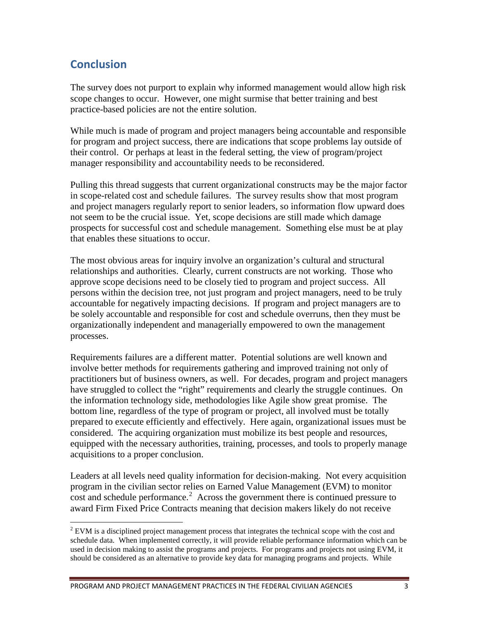## **Conclusion**

 $\overline{a}$ 

The survey does not purport to explain why informed management would allow high risk scope changes to occur. However, one might surmise that better training and best practice-based policies are not the entire solution.

While much is made of program and project managers being accountable and responsible for program and project success, there are indications that scope problems lay outside of their control. Or perhaps at least in the federal setting, the view of program/project manager responsibility and accountability needs to be reconsidered.

Pulling this thread suggests that current organizational constructs may be the major factor in scope-related cost and schedule failures. The survey results show that most program and project managers regularly report to senior leaders, so information flow upward does not seem to be the crucial issue. Yet, scope decisions are still made which damage prospects for successful cost and schedule management. Something else must be at play that enables these situations to occur.

The most obvious areas for inquiry involve an organization's cultural and structural relationships and authorities. Clearly, current constructs are not working. Those who approve scope decisions need to be closely tied to program and project success. All persons within the decision tree, not just program and project managers, need to be truly accountable for negatively impacting decisions. If program and project managers are to be solely accountable and responsible for cost and schedule overruns, then they must be organizationally independent and managerially empowered to own the management processes.

Requirements failures are a different matter. Potential solutions are well known and involve better methods for requirements gathering and improved training not only of practitioners but of business owners, as well. For decades, program and project managers have struggled to collect the "right" requirements and clearly the struggle continues. On the information technology side, methodologies like Agile show great promise. The bottom line, regardless of the type of program or project, all involved must be totally prepared to execute efficiently and effectively. Here again, organizational issues must be considered. The acquiring organization must mobilize its best people and resources, equipped with the necessary authorities, training, processes, and tools to properly manage acquisitions to a proper conclusion.

Leaders at all levels need quality information for decision-making. Not every acquisition program in the civilian sector relies on Earned Value Management (EVM) to monitor cost and schedule performance.<sup>[2](#page-4-0)</sup> Across the government there is continued pressure to award Firm Fixed Price Contracts meaning that decision makers likely do not receive

<span id="page-4-0"></span> $2$  EVM is a disciplined project management process that integrates the technical scope with the cost and schedule data. When implemented correctly, it will provide reliable performance information which can be used in decision making to assist the programs and projects. For programs and projects not using EVM, it should be considered as an alternative to provide key data for managing programs and projects. While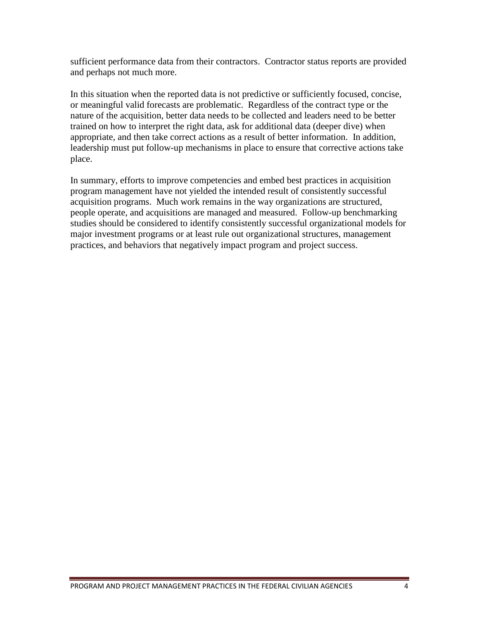sufficient performance data from their contractors. Contractor status reports are provided and perhaps not much more.

In this situation when the reported data is not predictive or sufficiently focused, concise, or meaningful valid forecasts are problematic. Regardless of the contract type or the nature of the acquisition, better data needs to be collected and leaders need to be better trained on how to interpret the right data, ask for additional data (deeper dive) when appropriate, and then take correct actions as a result of better information. In addition, leadership must put follow-up mechanisms in place to ensure that corrective actions take place.

In summary, efforts to improve competencies and embed best practices in acquisition program management have not yielded the intended result of consistently successful acquisition programs. Much work remains in the way organizations are structured, people operate, and acquisitions are managed and measured. Follow-up benchmarking studies should be considered to identify consistently successful organizational models for major investment programs or at least rule out organizational structures, management practices, and behaviors that negatively impact program and project success.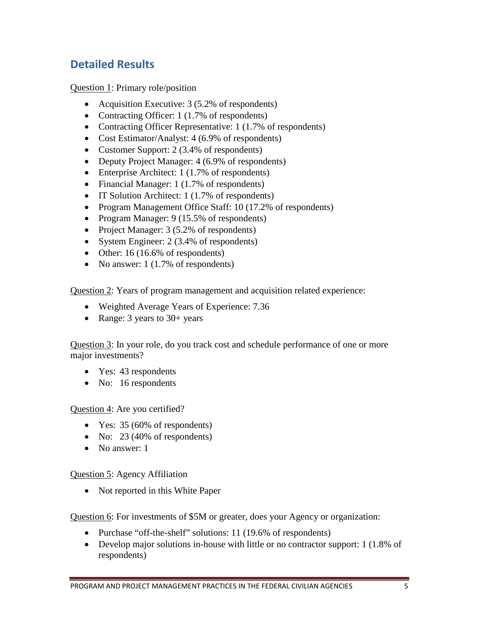## <span id="page-6-0"></span>**Detailed Results**

Question 1: Primary role/position

- Acquisition Executive: 3 (5.2% of respondents)
- Contracting Officer: 1 (1.7% of respondents)
- Contracting Officer Representative: 1 (1.7% of respondents)
- Cost Estimator/Analyst: 4 (6.9% of respondents)
- Customer Support: 2 (3.4% of respondents)
- Deputy Project Manager: 4 (6.9% of respondents)
- Enterprise Architect: 1 (1.7% of respondents)
- Financial Manager: 1 (1.7% of respondents)
- IT Solution Architect: 1 (1.7% of respondents)
- Program Management Office Staff: 10 (17.2% of respondents)
- Program Manager: 9 (15.5% of respondents)
- Project Manager: 3 (5.2% of respondents)
- System Engineer: 2 (3.4% of respondents)
- Other: 16 (16.6% of respondents)
- No answer: 1 (1.7% of respondents)

Question 2: Years of program management and acquisition related experience:

- Weighted Average Years of Experience: 7.36
- Range: 3 years to 30+ years

Question 3: In your role, do you track cost and schedule performance of one or more major investments?

- Yes: 43 respondents
- No: 16 respondents

#### Question 4: Are you certified?

- Yes: 35 (60% of respondents)
- No: 23 (40% of respondents)
- No answer: 1

#### Question 5: Agency Affiliation

• Not reported in this White Paper

Question 6: For investments of \$5M or greater, does your Agency or organization:

- Purchase "off-the-shelf" solutions: 11 (19.6% of respondents)
- Develop major solutions in-house with little or no contractor support: 1 (1.8% of respondents)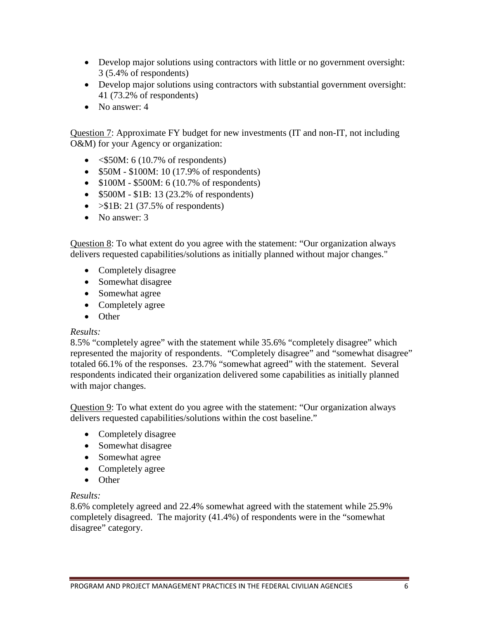- Develop major solutions using contractors with little or no government oversight: 3 (5.4% of respondents)
- Develop major solutions using contractors with substantial government oversight: 41 (73.2% of respondents)
- No answer: 4

Question 7: Approximate FY budget for new investments (IT and non-IT, not including O&M) for your Agency or organization:

- $\leq$ \$50M: 6 (10.7% of respondents)
- \$50M \$100M: 10 (17.9% of respondents)
- $$100M $500M$ : 6 (10.7% of respondents)
- \$500M \$1B: 13 (23.2% of respondents)
- $>\$1B: 21 (37.5\% \text{ of respondents})$
- No answer: 3

Question 8: To what extent do you agree with the statement: "Our organization always delivers requested capabilities/solutions as initially planned without major changes."

- Completely disagree
- Somewhat disagree
- Somewhat agree
- Completely agree
- Other

#### *Results:*

8.5% "completely agree" with the statement while 35.6% "completely disagree" which represented the majority of respondents. "Completely disagree" and "somewhat disagree" totaled 66.1% of the responses. 23.7% "somewhat agreed" with the statement. Several respondents indicated their organization delivered some capabilities as initially planned with major changes.

Question 9: To what extent do you agree with the statement: "Our organization always delivers requested capabilities/solutions within the cost baseline."

- Completely disagree
- Somewhat disagree
- Somewhat agree
- Completely agree
- Other

#### *Results:*

8.6% completely agreed and 22.4% somewhat agreed with the statement while 25.9% completely disagreed. The majority (41.4%) of respondents were in the "somewhat disagree" category.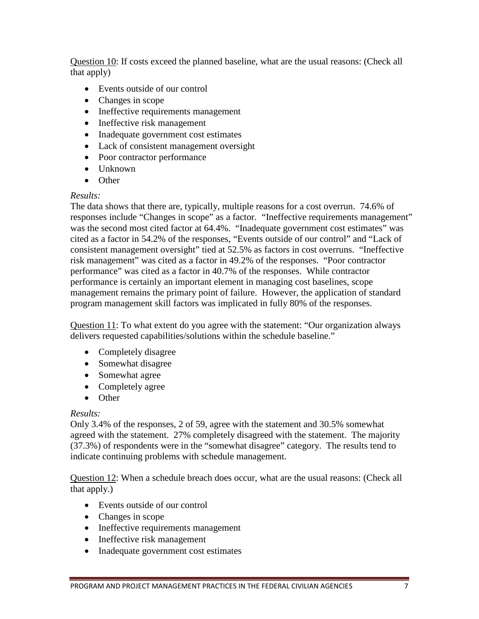Question 10: If costs exceed the planned baseline, what are the usual reasons: (Check all that apply)

- Events outside of our control
- Changes in scope
- Ineffective requirements management
- Ineffective risk management
- Inadequate government cost estimates
- Lack of consistent management oversight
- Poor contractor performance
- Unknown
- Other

#### *Results:*

The data shows that there are, typically, multiple reasons for a cost overrun. 74.6% of responses include "Changes in scope" as a factor. "Ineffective requirements management" was the second most cited factor at 64.4%. "Inadequate government cost estimates" was cited as a factor in 54.2% of the responses, "Events outside of our control" and "Lack of consistent management oversight" tied at 52.5% as factors in cost overruns. "Ineffective risk management" was cited as a factor in 49.2% of the responses. "Poor contractor performance" was cited as a factor in 40.7% of the responses. While contractor performance is certainly an important element in managing cost baselines, scope management remains the primary point of failure. However, the application of standard program management skill factors was implicated in fully 80% of the responses.

Question 11: To what extent do you agree with the statement: "Our organization always delivers requested capabilities/solutions within the schedule baseline."

- Completely disagree
- Somewhat disagree
- Somewhat agree
- Completely agree
- Other

#### *Results:*

Only 3.4% of the responses, 2 of 59, agree with the statement and 30.5% somewhat agreed with the statement. 27% completely disagreed with the statement. The majority (37.3%) of respondents were in the "somewhat disagree" category. The results tend to indicate continuing problems with schedule management.

Question 12: When a schedule breach does occur, what are the usual reasons: (Check all that apply.)

- Events outside of our control
- Changes in scope
- Ineffective requirements management
- Ineffective risk management
- Inadequate government cost estimates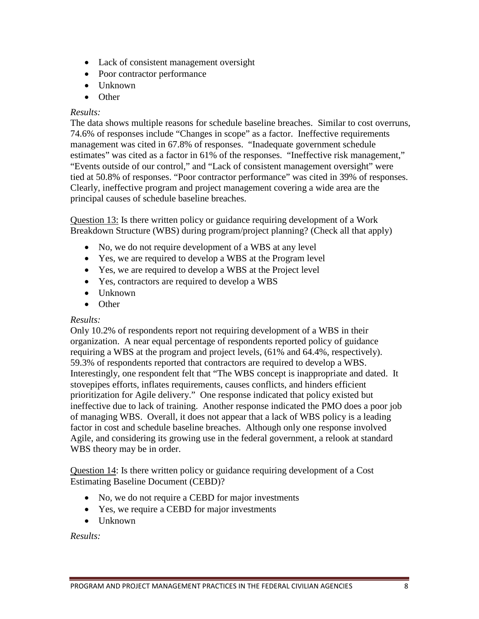- Lack of consistent management oversight
- Poor contractor performance
- Unknown
- Other

#### *Results:*

The data shows multiple reasons for schedule baseline breaches. Similar to cost overruns, 74.6% of responses include "Changes in scope" as a factor. Ineffective requirements management was cited in 67.8% of responses. "Inadequate government schedule estimates" was cited as a factor in 61% of the responses. "Ineffective risk management," "Events outside of our control," and "Lack of consistent management oversight" were tied at 50.8% of responses. "Poor contractor performance" was cited in 39% of responses. Clearly, ineffective program and project management covering a wide area are the principal causes of schedule baseline breaches.

Question 13: Is there written policy or guidance requiring development of a Work Breakdown Structure (WBS) during program/project planning? (Check all that apply)

- No, we do not require development of a WBS at any level
- Yes, we are required to develop a WBS at the Program level
- Yes, we are required to develop a WBS at the Project level
- Yes, contractors are required to develop a WBS
- Unknown
- Other

#### *Results:*

Only 10.2% of respondents report not requiring development of a WBS in their organization. A near equal percentage of respondents reported policy of guidance requiring a WBS at the program and project levels, (61% and 64.4%, respectively). 59.3% of respondents reported that contractors are required to develop a WBS. Interestingly, one respondent felt that "The WBS concept is inappropriate and dated. It stovepipes efforts, inflates requirements, causes conflicts, and hinders efficient prioritization for Agile delivery." One response indicated that policy existed but ineffective due to lack of training. Another response indicated the PMO does a poor job of managing WBS. Overall, it does not appear that a lack of WBS policy is a leading factor in cost and schedule baseline breaches. Although only one response involved Agile, and considering its growing use in the federal government, a relook at standard WBS theory may be in order.

Question 14: Is there written policy or guidance requiring development of a Cost Estimating Baseline Document (CEBD)?

- No, we do not require a CEBD for major investments
- Yes, we require a CEBD for major investments
- Unknown

*Results:*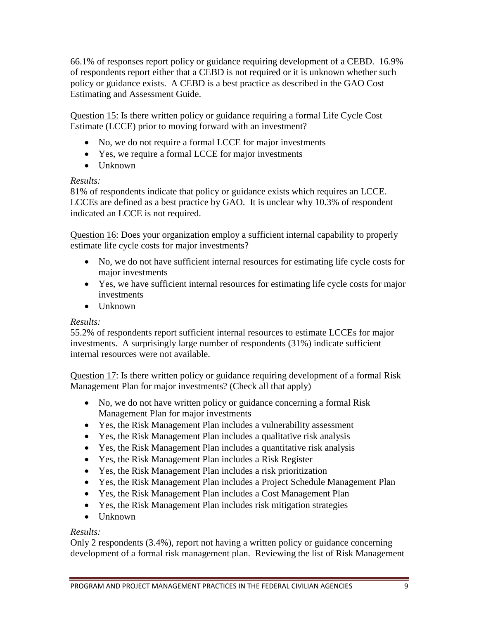66.1% of responses report policy or guidance requiring development of a CEBD. 16.9% of respondents report either that a CEBD is not required or it is unknown whether such policy or guidance exists. A CEBD is a best practice as described in the GAO Cost Estimating and Assessment Guide.

Question 15: Is there written policy or guidance requiring a formal Life Cycle Cost Estimate (LCCE) prior to moving forward with an investment?

- No, we do not require a formal LCCE for major investments
- Yes, we require a formal LCCE for major investments
- Unknown

#### *Results:*

81% of respondents indicate that policy or guidance exists which requires an LCCE. LCCEs are defined as a best practice by GAO. It is unclear why 10.3% of respondent indicated an LCCE is not required.

Question 16: Does your organization employ a sufficient internal capability to properly estimate life cycle costs for major investments?

- No, we do not have sufficient internal resources for estimating life cycle costs for major investments
- Yes, we have sufficient internal resources for estimating life cycle costs for major investments
- Unknown

#### *Results:*

55.2% of respondents report sufficient internal resources to estimate LCCEs for major investments. A surprisingly large number of respondents (31%) indicate sufficient internal resources were not available.

Question 17: Is there written policy or guidance requiring development of a formal Risk Management Plan for major investments? (Check all that apply)

- No, we do not have written policy or guidance concerning a formal Risk Management Plan for major investments
- Yes, the Risk Management Plan includes a vulnerability assessment
- Yes, the Risk Management Plan includes a qualitative risk analysis
- Yes, the Risk Management Plan includes a quantitative risk analysis
- Yes, the Risk Management Plan includes a Risk Register
- Yes, the Risk Management Plan includes a risk prioritization
- Yes, the Risk Management Plan includes a Project Schedule Management Plan
- Yes, the Risk Management Plan includes a Cost Management Plan
- Yes, the Risk Management Plan includes risk mitigation strategies
- Unknown

#### *Results:*

Only 2 respondents (3.4%), report not having a written policy or guidance concerning development of a formal risk management plan. Reviewing the list of Risk Management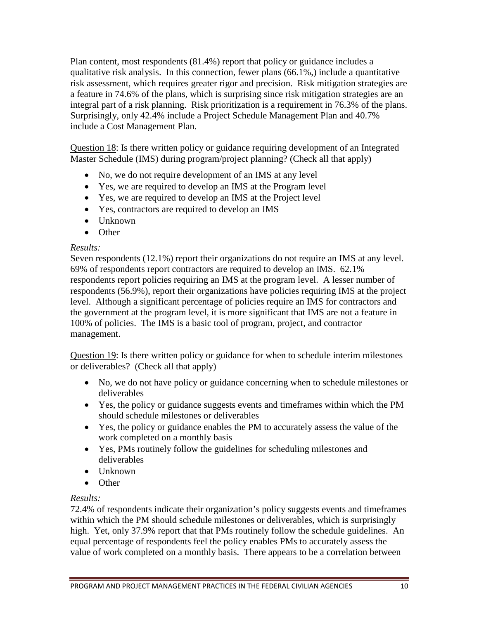Plan content, most respondents (81.4%) report that policy or guidance includes a qualitative risk analysis. In this connection, fewer plans (66.1%,) include a quantitative risk assessment, which requires greater rigor and precision. Risk mitigation strategies are a feature in 74.6% of the plans, which is surprising since risk mitigation strategies are an integral part of a risk planning. Risk prioritization is a requirement in 76.3% of the plans. Surprisingly, only 42.4% include a Project Schedule Management Plan and 40.7% include a Cost Management Plan.

Question 18: Is there written policy or guidance requiring development of an Integrated Master Schedule (IMS) during program/project planning? (Check all that apply)

- No, we do not require development of an IMS at any level
- Yes, we are required to develop an IMS at the Program level
- Yes, we are required to develop an IMS at the Project level
- Yes, contractors are required to develop an IMS
- Unknown
- Other

#### *Results:*

Seven respondents (12.1%) report their organizations do not require an IMS at any level. 69% of respondents report contractors are required to develop an IMS. 62.1% respondents report policies requiring an IMS at the program level. A lesser number of respondents (56.9%), report their organizations have policies requiring IMS at the project level. Although a significant percentage of policies require an IMS for contractors and the government at the program level, it is more significant that IMS are not a feature in 100% of policies. The IMS is a basic tool of program, project, and contractor management.

Question 19: Is there written policy or guidance for when to schedule interim milestones or deliverables? (Check all that apply)

- No, we do not have policy or guidance concerning when to schedule milestones or deliverables
- Yes, the policy or guidance suggests events and timeframes within which the PM should schedule milestones or deliverables
- Yes, the policy or guidance enables the PM to accurately assess the value of the work completed on a monthly basis
- Yes, PMs routinely follow the guidelines for scheduling milestones and deliverables
- Unknown
- Other

#### *Results:*

72.4% of respondents indicate their organization's policy suggests events and timeframes within which the PM should schedule milestones or deliverables, which is surprisingly high. Yet, only 37.9% report that that PMs routinely follow the schedule guidelines. An equal percentage of respondents feel the policy enables PMs to accurately assess the value of work completed on a monthly basis. There appears to be a correlation between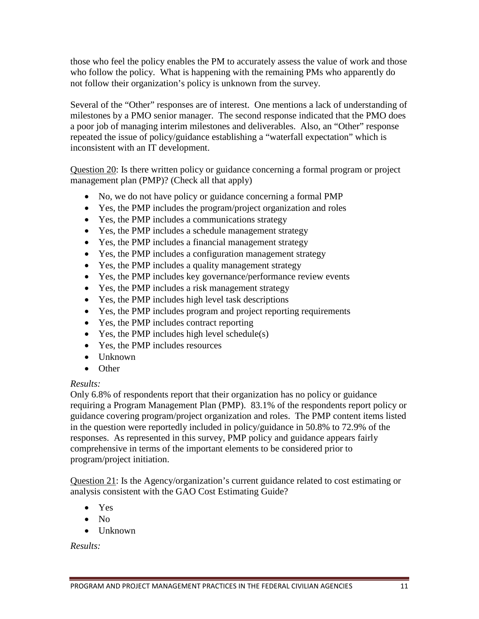those who feel the policy enables the PM to accurately assess the value of work and those who follow the policy. What is happening with the remaining PMs who apparently do not follow their organization's policy is unknown from the survey.

Several of the "Other" responses are of interest. One mentions a lack of understanding of milestones by a PMO senior manager. The second response indicated that the PMO does a poor job of managing interim milestones and deliverables. Also, an "Other" response repeated the issue of policy/guidance establishing a "waterfall expectation" which is inconsistent with an IT development.

Question 20: Is there written policy or guidance concerning a formal program or project management plan (PMP)? (Check all that apply)

- No, we do not have policy or guidance concerning a formal PMP
- Yes, the PMP includes the program/project organization and roles
- Yes, the PMP includes a communications strategy
- Yes, the PMP includes a schedule management strategy
- Yes, the PMP includes a financial management strategy
- Yes, the PMP includes a configuration management strategy
- Yes, the PMP includes a quality management strategy
- Yes, the PMP includes key governance/performance review events
- Yes, the PMP includes a risk management strategy
- Yes, the PMP includes high level task descriptions
- Yes, the PMP includes program and project reporting requirements
- Yes, the PMP includes contract reporting
- Yes, the PMP includes high level schedule(s)
- Yes, the PMP includes resources
- Unknown
- Other

#### *Results:*

Only 6.8% of respondents report that their organization has no policy or guidance requiring a Program Management Plan (PMP). 83.1% of the respondents report policy or guidance covering program/project organization and roles. The PMP content items listed in the question were reportedly included in policy/guidance in 50.8% to 72.9% of the responses. As represented in this survey, PMP policy and guidance appears fairly comprehensive in terms of the important elements to be considered prior to program/project initiation.

Question 21: Is the Agency/organization's current guidance related to cost estimating or analysis consistent with the GAO Cost Estimating Guide?

- Yes
- No
- Unknown

*Results:*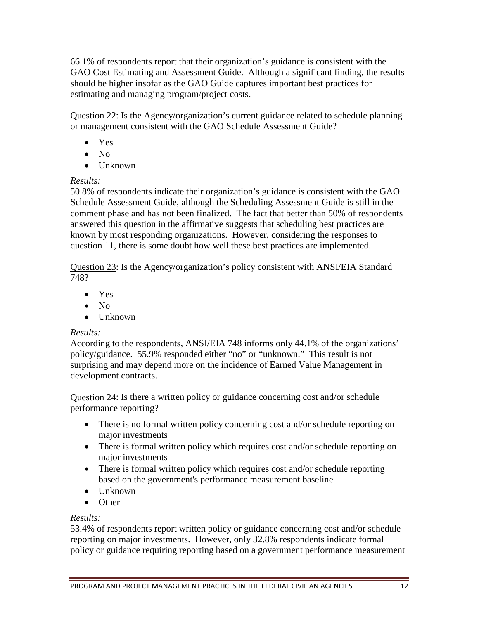66.1% of respondents report that their organization's guidance is consistent with the GAO Cost Estimating and Assessment Guide. Although a significant finding, the results should be higher insofar as the GAO Guide captures important best practices for estimating and managing program/project costs.

Question 22: Is the Agency/organization's current guidance related to schedule planning or management consistent with the GAO Schedule Assessment Guide?

- Yes
- No
- Unknown

#### *Results:*

50.8% of respondents indicate their organization's guidance is consistent with the GAO Schedule Assessment Guide, although the Scheduling Assessment Guide is still in the comment phase and has not been finalized. The fact that better than 50% of respondents answered this question in the affirmative suggests that scheduling best practices are known by most responding organizations. However, considering the responses to question 11, there is some doubt how well these best practices are implemented.

Question 23: Is the Agency/organization's policy consistent with ANSI/EIA Standard 748?

- Yes
- No
- Unknown

#### *Results:*

According to the respondents, ANSI/EIA 748 informs only 44.1% of the organizations' policy/guidance. 55.9% responded either "no" or "unknown." This result is not surprising and may depend more on the incidence of Earned Value Management in development contracts.

Question 24: Is there a written policy or guidance concerning cost and/or schedule performance reporting?

- There is no formal written policy concerning cost and/or schedule reporting on major investments
- There is formal written policy which requires cost and/or schedule reporting on major investments
- There is formal written policy which requires cost and/or schedule reporting based on the government's performance measurement baseline
- Unknown
- Other

#### *Results:*

53.4% of respondents report written policy or guidance concerning cost and/or schedule reporting on major investments. However, only 32.8% respondents indicate formal policy or guidance requiring reporting based on a government performance measurement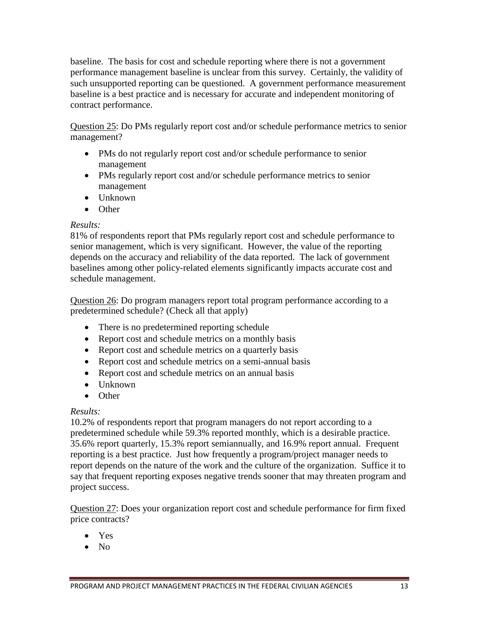baseline. The basis for cost and schedule reporting where there is not a government performance management baseline is unclear from this survey. Certainly, the validity of such unsupported reporting can be questioned. A government performance measurement baseline is a best practice and is necessary for accurate and independent monitoring of contract performance.

Question 25: Do PMs regularly report cost and/or schedule performance metrics to senior management?

- PMs do not regularly report cost and/or schedule performance to senior management
- PMs regularly report cost and/or schedule performance metrics to senior management
- Unknown
- Other

#### *Results:*

81% of respondents report that PMs regularly report cost and schedule performance to senior management, which is very significant. However, the value of the reporting depends on the accuracy and reliability of the data reported. The lack of government baselines among other policy-related elements significantly impacts accurate cost and schedule management.

Question 26: Do program managers report total program performance according to a predetermined schedule? (Check all that apply)

- There is no predetermined reporting schedule
- Report cost and schedule metrics on a monthly basis
- Report cost and schedule metrics on a quarterly basis
- Report cost and schedule metrics on a semi-annual basis
- Report cost and schedule metrics on an annual basis
- Unknown
- Other

#### *Results:*

10.2% of respondents report that program managers do not report according to a predetermined schedule while 59.3% reported monthly, which is a desirable practice. 35.6% report quarterly, 15.3% report semiannually, and 16.9% report annual. Frequent reporting is a best practice. Just how frequently a program/project manager needs to report depends on the nature of the work and the culture of the organization. Suffice it to say that frequent reporting exposes negative trends sooner that may threaten program and project success.

Question 27: Does your organization report cost and schedule performance for firm fixed price contracts?

- Yes
- No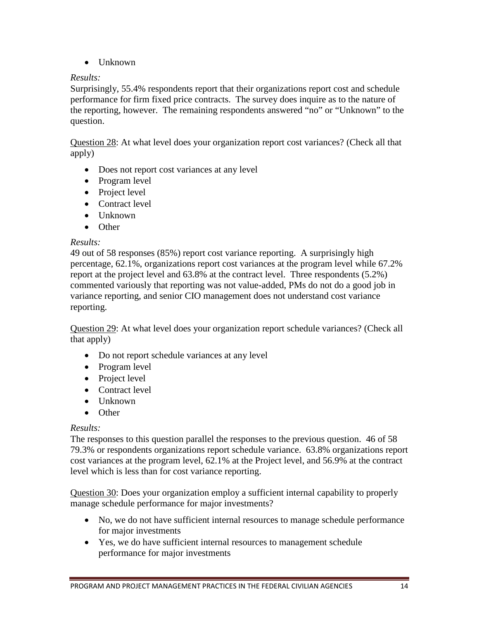• Unknown

#### *Results:*

Surprisingly, 55.4% respondents report that their organizations report cost and schedule performance for firm fixed price contracts. The survey does inquire as to the nature of the reporting, however. The remaining respondents answered "no" or "Unknown" to the question.

Question 28: At what level does your organization report cost variances? (Check all that apply)

- Does not report cost variances at any level
- Program level
- Project level
- Contract level
- Unknown
- Other

#### *Results:*

49 out of 58 responses (85%) report cost variance reporting. A surprisingly high percentage, 62.1%, organizations report cost variances at the program level while 67.2% report at the project level and 63.8% at the contract level. Three respondents (5.2%) commented variously that reporting was not value-added, PMs do not do a good job in variance reporting, and senior CIO management does not understand cost variance reporting.

Question 29: At what level does your organization report schedule variances? (Check all that apply)

- Do not report schedule variances at any level
- Program level
- Project level
- Contract level
- Unknown
- Other

#### *Results:*

The responses to this question parallel the responses to the previous question. 46 of 58 79.3% or respondents organizations report schedule variance. 63.8% organizations report cost variances at the program level, 62.1% at the Project level, and 56.9% at the contract level which is less than for cost variance reporting.

Question 30: Does your organization employ a sufficient internal capability to properly manage schedule performance for major investments?

- No, we do not have sufficient internal resources to manage schedule performance for major investments
- Yes, we do have sufficient internal resources to management schedule performance for major investments